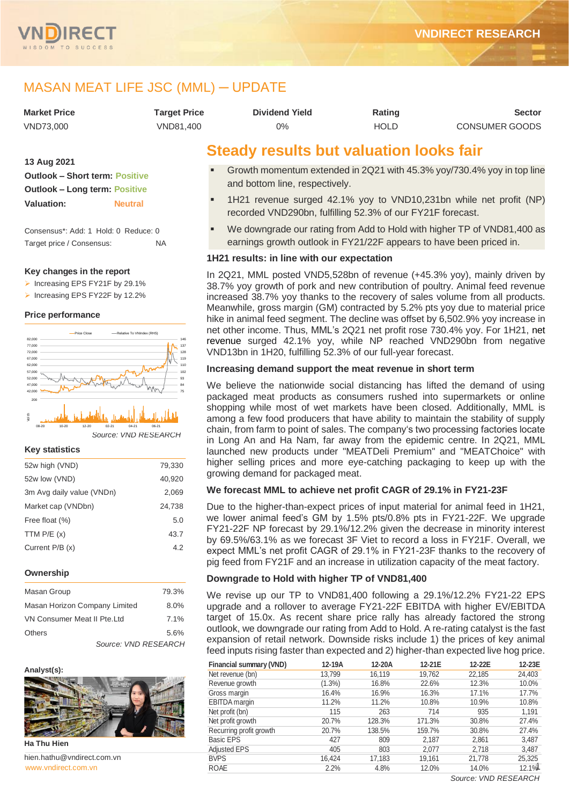

# MASAN MEAT LIFE JSC (MML) ─ UPDATE

| Market Price | Target Price | <b>Dividend Yield</b> | Rating      | <b>Sector</b>         |
|--------------|--------------|-----------------------|-------------|-----------------------|
| VND73.000    | VND81.400    | 0%                    | <b>HOLD</b> | <b>CONSUMER GOODS</b> |

## **13 Aug 2021 Outlook – Short term: Positive Outlook – Long term: Positive Valuation: Neutral**

Consensus\*: Add: 1 Hold: 0 Reduce: 0 Target price / Consensus: NA

## **Key changes in the report**

- ➢ Increasing EPS FY21F by 29.1%
- ➢ Increasing EPS FY22F by 12.2%

## **Price performance**



*Source: VND RESEARCH*

## **Key statistics**

| 52w high (VND)            | 79,330 |
|---------------------------|--------|
| 52w low (VND)             | 40,920 |
| 3m Avg daily value (VNDn) | 2.069  |
| Market cap (VNDbn)        | 24,738 |
| Free float (%)            | 5.0    |
| TTM $P/E(x)$              | 43.7   |
| Current $P/B(x)$          | 4.2    |
|                           |        |

## **Ownership**

| Masan Group                   |                      | 79.3%   |
|-------------------------------|----------------------|---------|
| Masan Horizon Company Limited |                      | $8.0\%$ |
| VN Consumer Meat II Pte. Ltd  |                      | 7.1%    |
| <b>Others</b>                 |                      | 5.6%    |
|                               | Source: VND RESEARCH |         |

## **Analyst(s):**



**Ha Thu Hien**

www.vndirect.com.vr hien.hathu@vndirect.com.vn

# **Steady results but valuation looks fair**

- Growth momentum extended in 2Q21 with 45.3% yoy/730.4% yoy in top line and bottom line, respectively.
- 1H21 revenue surged 42.1% yoy to VND10,231bn while net profit (NP) recorded VND290bn, fulfilling 52.3% of our FY21F forecast.
- We downgrade our rating from Add to Hold with higher TP of VND81,400 as earnings growth outlook in FY21/22F appears to have been priced in.

## **1H21 results: in line with our expectation**

In 2Q21, MML posted VND5,528bn of revenue (+45.3% yoy), mainly driven by 38.7% yoy growth of pork and new contribution of poultry. Animal feed revenue increased 38.7% yoy thanks to the recovery of sales volume from all products. Meanwhile, gross margin (GM) contracted by 5.2% pts yoy due to material price hike in animal feed segment. The decline was offset by 6,502.9% yoy increase in net other income. Thus, MML's 2Q21 net profit rose 730.4% yoy. For 1H21, net revenue surged 42.1% yoy, while NP reached VND290bn from negative VND13bn in 1H20, fulfilling 52.3% of our full-year forecast.

## **Increasing demand support the meat revenue in short term**

We believe the nationwide social distancing has lifted the demand of using packaged meat products as consumers rushed into supermarkets or online shopping while most of wet markets have been closed. Additionally, MML is among a few food producers that have ability to maintain the stability of supply chain, from farm to point of sales. The company's two processing factories locate in Long An and Ha Nam, far away from the epidemic centre. In 2Q21, MML launched new products under "MEATDeli Premium" and "MEATChoice" with higher selling prices and more eye-catching packaging to keep up with the growing demand for packaged meat.

## **We forecast MML to achieve net profit CAGR of 29.1% in FY21-23F**

Due to the higher-than-expect prices of input material for animal feed in 1H21, we lower animal feed's GM by 1.5% pts/0.8% pts in FY21-22F. We upgrade FY21-22F NP forecast by 29.1%/12.2% given the decrease in minority interest by 69.5%/63.1% as we forecast 3F Viet to record a loss in FY21F. Overall, we expect MML's net profit CAGR of 29.1% in FY21-23F thanks to the recovery of pig feed from FY21F and an increase in utilization capacity of the meat factory.

## **Downgrade to Hold with higher TP of VND81,400**

We revise up our TP to VND81,400 following a 29.1%/12.2% FY21-22 EPS upgrade and a rollover to average FY21-22F EBITDA with higher EV/EBITDA target of 15.0x. As recent share price rally has already factored the strong outlook, we downgrade our rating from Add to Hold. A re-rating catalyst is the fast expansion of retail network. Downside risks include 1) the prices of key animal feed inputs rising faster than expected and 2) higher-than expected live hog price.

| Financial summary (VND) | 12-19A    | 12-20A | 12-21E | 12-22E | 12-23E |
|-------------------------|-----------|--------|--------|--------|--------|
| Net revenue (bn)        | 13,799    | 16,119 | 19,762 | 22,185 | 24,403 |
| Revenue growth          | $(1.3\%)$ | 16.8%  | 22.6%  | 12.3%  | 10.0%  |
| Gross margin            | 16.4%     | 16.9%  | 16.3%  | 17.1%  | 17.7%  |
| EBITDA margin           | 11.2%     | 11.2%  | 10.8%  | 10.9%  | 10.8%  |
| Net profit (bn)         | 115       | 263    | 714    | 935    | 1,191  |
| Net profit growth       | 20.7%     | 128.3% | 171.3% | 30.8%  | 27.4%  |
| Recurring profit growth | 20.7%     | 138.5% | 159.7% | 30.8%  | 27.4%  |
| <b>Basic EPS</b>        | 427       | 809    | 2,187  | 2,861  | 3,487  |
| <b>Adjusted EPS</b>     | 405       | 803    | 2,077  | 2,718  | 3,487  |
| <b>BVPS</b>             | 16.424    | 17,183 | 19,161 | 21,778 | 25,325 |
| <b>ROAE</b>             | 2.2%      | 4.8%   | 12.0%  | 14.0%  | 12.1%  |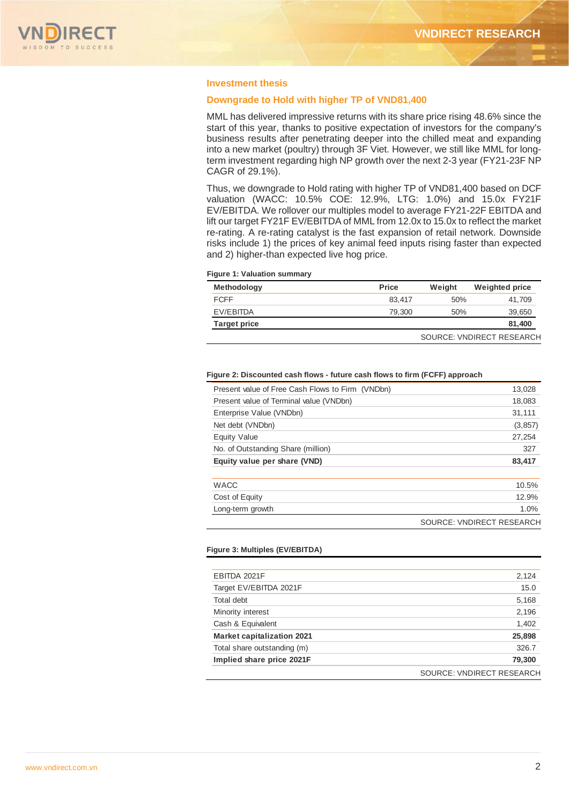

## **Investment thesis**

## **Downgrade to Hold with higher TP of VND81,400**

MML has delivered impressive returns with its share price rising 48.6% since the start of this year, thanks to positive expectation of investors for the company's business results after penetrating deeper into the chilled meat and expanding into a new market (poultry) through 3F Viet. However, we still like MML for longterm investment regarding high NP growth over the next 2-3 year (FY21-23F NP CAGR of 29.1%).

Thus, we downgrade to Hold rating with higher TP of VND81,400 based on DCF valuation (WACC: 10.5% COE: 12.9%, LTG: 1.0%) and 15.0x FY21F EV/EBITDA. We rollover our multiples model to average FY21-22F EBITDA and lift our target FY21F EV/EBITDA of MML from 12.0x to 15.0x to reflect the market re-rating. A re-rating catalyst is the fast expansion of retail network. Downside risks include 1) the prices of key animal feed inputs rising faster than expected and 2) higher-than expected live hog price.

|  |  |  | <b>Figure 1: Valuation summary</b> |
|--|--|--|------------------------------------|
|--|--|--|------------------------------------|

| <b>Methodology</b>  | <b>Price</b> | Weight | <b>Weighted price</b>     |
|---------------------|--------------|--------|---------------------------|
| <b>FCFF</b>         | 83.417       | 50%    | 41.709                    |
| EV/EBITDA           | 79,300       | 50%    | 39,650                    |
| <b>Target price</b> |              |        | 81,400                    |
|                     |              |        | SOURCE: VNDIRECT RESEARCH |

#### **Figure 2: Discounted cash flows - future cash flows to firm (FCFF) approach**

| Present value of Free Cash Flows to Firm (VNDbn) | 13,028   |
|--------------------------------------------------|----------|
| Present value of Terminal value (VNDbn)          | 18,083   |
| Enterprise Value (VNDbn)                         | 31,111   |
| Net debt (VNDbn)                                 | (3, 857) |
| Equity Value                                     | 27,254   |
| No. of Outstanding Share (million)               | 327      |
| Equity value per share (VND)                     | 83,417   |
|                                                  |          |
| <b>WACC</b>                                      | 10.5%    |
| Cost of Equity                                   | 12.9%    |
| Long-term growth                                 | 1.0%     |
|                                                  |          |

SOURCE: VNDIRECT RESEARCH

#### **Figure 3: Multiples (EV/EBITDA)**

| 2,124<br>15.0<br>5,168           |
|----------------------------------|
|                                  |
|                                  |
|                                  |
| 2,196                            |
| 1,402                            |
| 25,898                           |
| 326.7                            |
| 79,300                           |
| <b>SOURCE: VNDIRECT RESEARCH</b> |
|                                  |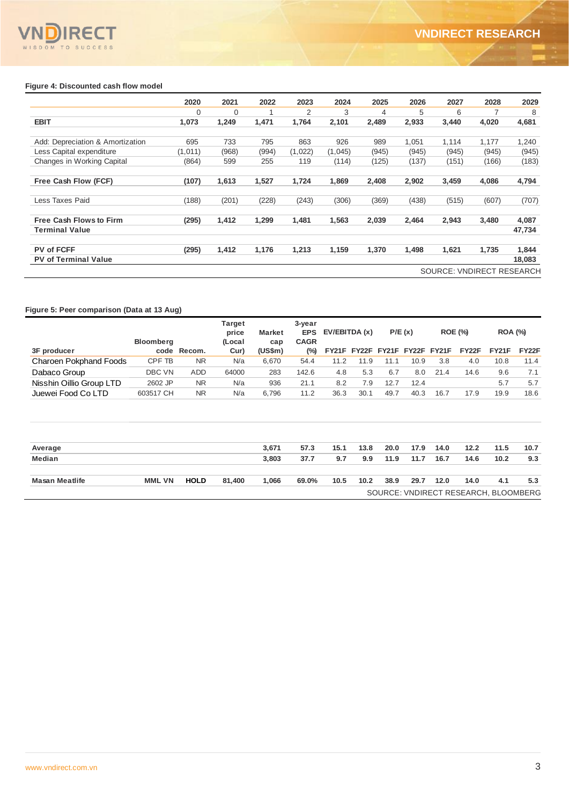## **Figure 4: Discounted cash flow model**

|                                  | 2020     | 2021     | 2022  | 2023    | 2024    | 2025  | 2026  | 2027                             | 2028  | 2029   |
|----------------------------------|----------|----------|-------|---------|---------|-------|-------|----------------------------------|-------|--------|
|                                  | $\Omega$ | $\Omega$ |       | 2       | 3       | 4     | 5     | 6                                |       | 8      |
| <b>EBIT</b>                      | 1,073    | 1,249    | 1.471 | 1.764   | 2,101   | 2,489 | 2,933 | 3,440                            | 4,020 | 4,681  |
| Add: Depreciation & Amortization | 695      | 733      | 795   | 863     | 926     | 989   | 1,051 | 1.114                            | 1.177 | 1,240  |
| Less Capital expenditure         | (1,011)  | (968)    | (994) | (1,022) | (1,045) | (945) | (945) | (945)                            | (945) | (945)  |
| Changes in Working Capital       | (864)    | 599      | 255   | 119     | (114)   | (125) | (137) | (151)                            | (166) | (183)  |
| Free Cash Flow (FCF)             | (107)    | 1,613    | 1,527 | 1,724   | 1,869   | 2,408 | 2,902 | 3,459                            | 4,086 | 4,794  |
| Less Taxes Paid                  | (188)    | (201)    | (228) | (243)   | (306)   | (369) | (438) | (515)                            | (607) | (707)  |
| <b>Free Cash Flows to Firm</b>   | (295)    | 1,412    | 1,299 | 1,481   | 1,563   | 2,039 | 2,464 | 2,943                            | 3,480 | 4,087  |
| <b>Terminal Value</b>            |          |          |       |         |         |       |       |                                  |       | 47,734 |
| <b>PV of FCFF</b>                | (295)    | 1,412    | 1.176 | 1.213   | 1,159   | 1,370 | 1.498 | 1.621                            | 1.735 | 1,844  |
| <b>PV of Terminal Value</b>      |          |          |       |         |         |       |       |                                  |       | 18,083 |
|                                  |          |          |       |         |         |       |       | <b>SOURCE: VNDIRECT RESEARCH</b> |       |        |

## **Figure 5: Peer comparison (Data at 13 Aug)**

|                               |                  |             | <b>Target</b><br>price | 3-year<br>P/E(x)<br><b>ROE (%)</b><br>EV/EBITDA (x)<br><b>EPS</b><br><b>Market</b> |             |      |                               |      |      | <b>ROA (%)</b> |       |       |       |
|-------------------------------|------------------|-------------|------------------------|------------------------------------------------------------------------------------|-------------|------|-------------------------------|------|------|----------------|-------|-------|-------|
|                               | <b>Bloomberg</b> |             | (Local                 | cap                                                                                | <b>CAGR</b> |      |                               |      |      |                |       |       |       |
| 3F producer                   |                  | code Recom. | Cur)                   | (US\$m)                                                                            | $(\%)$      |      | FY21F FY22F FY21F FY22F FY21F |      |      |                | FY22F | FY21F | FY22F |
| <b>Charoen Pokphand Foods</b> | CPF TB           | <b>NR</b>   | N/a                    | 6,670                                                                              | 54.4        | 11.2 | 11.9                          | 11.1 | 10.9 | 3.8            | 4.0   | 10.8  | 11.4  |
| Dabaco Group                  | DBC VN           | <b>ADD</b>  | 64000                  | 283                                                                                | 142.6       | 4.8  | 5.3                           | 6.7  | 8.0  | 21.4           | 14.6  | 9.6   | 7.1   |
| Nisshin Oillio Group LTD      | 2602 JP          | <b>NR</b>   | N/a                    | 936                                                                                | 21.1        | 8.2  | 7.9                           | 12.7 | 12.4 |                |       | 5.7   | 5.7   |
| Juewei Food Co LTD            | 603517 CH        | <b>NR</b>   | N/a                    | 6,796                                                                              | 11.2        | 36.3 | 30.1                          | 49.7 | 40.3 | 16.7           | 17.9  | 19.9  | 18.6  |
|                               |                  |             |                        |                                                                                    |             |      |                               |      |      |                |       |       |       |
| Average                       |                  |             |                        | 3,671                                                                              | 57.3        | 15.1 | 13.8                          | 20.0 | 17.9 | 14.0           | 12.2  | 11.5  | 10.7  |
| Median                        |                  |             |                        | 3,803                                                                              | 37.7        | 9.7  | 9.9                           | 11.9 | 11.7 | 16.7           | 14.6  | 10.2  | 9.3   |

| <b>Masan Meatlife</b> | <b>MML VN</b> | <b>HOLD</b> | 81.400 | .066 | 69.0% | 10.5 | 10.2 | 38.9 | 29.7 | 12.0 | 14.0                                 | 4.1 | 5.3 |
|-----------------------|---------------|-------------|--------|------|-------|------|------|------|------|------|--------------------------------------|-----|-----|
|                       |               |             |        |      |       |      |      |      |      |      | SOURCE: VNDIRECT RESEARCH, BLOOMBERG |     |     |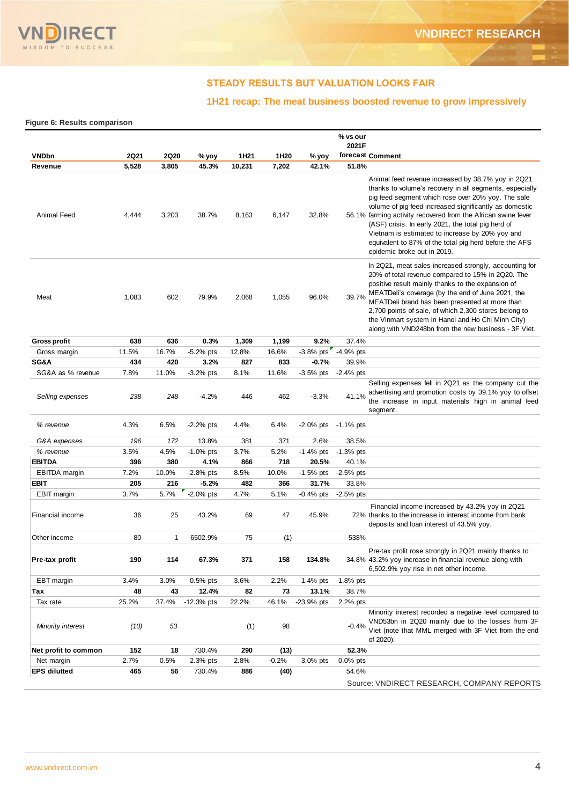

## **STEADY RESULTS BUT VALUATION LOOKS FAIR**

## **1H21 recap: The meat business boosted revenue to grow impressively**

**Figure 6: Results comparison**

|                      |             |             |              |        |                  |                     | % vs our<br>2021F |                                                                                                                                                                                                                                                                                                                                                                                                                                                                                                  |
|----------------------|-------------|-------------|--------------|--------|------------------|---------------------|-------------------|--------------------------------------------------------------------------------------------------------------------------------------------------------------------------------------------------------------------------------------------------------------------------------------------------------------------------------------------------------------------------------------------------------------------------------------------------------------------------------------------------|
| <b>VNDbn</b>         | <b>2Q21</b> | <b>2Q20</b> | % yoy        | 1H21   | 1H <sub>20</sub> | % yoy               |                   | forecast Comment                                                                                                                                                                                                                                                                                                                                                                                                                                                                                 |
| Revenue              | 5,528       | 3,805       | 45.3%        | 10,231 | 7,202            | 42.1%               | 51.8%             |                                                                                                                                                                                                                                                                                                                                                                                                                                                                                                  |
| Animal Feed          | 4,444       | 3,203       | 38.7%        | 8,163  | 6,147            | 32.8%               |                   | Animal feed revenue increased by 38.7% yoy in 2Q21<br>thanks to volume's recovery in all segments, especially<br>pig feed segment which rose over 20% yoy. The sale<br>volume of pig feed increased significantly as domestic<br>56.1% farming activity recovered from the African swine fever<br>(ASF) crisis. In early 2021, the total pig herd of<br>Vietnam is estimated to increase by 20% yoy and<br>equivalent to 87% of the total pig herd before the AFS<br>epidemic broke out in 2019. |
| Meat                 | 1,083       | 602         | 79.9%        | 2,068  | 1,055            | 96.0%               | 39.7%             | In 2Q21, meat sales increased strongly, accounting for<br>20% of total revenue compared to 15% in 2Q20. The<br>positive result mainly thanks to the expansion of<br>MEATDeli's coverage (by the end of June 2021, the<br>MEATDeli brand has been presented at more than<br>2,700 points of sale, of which 2,300 stores belong to<br>the Vinmart system in Hanoi and Ho Chi Minh City)<br>along with VND248bn from the new business - 3F Viet.                                                    |
| <b>Gross profit</b>  | 638         | 636         | 0.3%         | 1,309  | 1,199            | 9.2%                | 37.4%             |                                                                                                                                                                                                                                                                                                                                                                                                                                                                                                  |
| Gross margin         | 11.5%       | 16.7%       | $-5.2%$ pts  | 12.8%  | 16.6%            | -3.8% pts -4.9% pts |                   |                                                                                                                                                                                                                                                                                                                                                                                                                                                                                                  |
| SG&A                 | 434         | 420         | 3.2%         | 827    | 833              | $-0.7%$             | 39.9%             |                                                                                                                                                                                                                                                                                                                                                                                                                                                                                                  |
| SG&A as % revenue    | 7.8%        | 11.0%       | $-3.2%$ pts  | 8.1%   | 11.6%            | $-3.5%$ pts         | $-2.4%$ pts       |                                                                                                                                                                                                                                                                                                                                                                                                                                                                                                  |
| Selling expenses     | 238         | 248         | $-4.2%$      | 446    | 462              | $-3.3%$             | 41.1%             | Selling expenses fell in 2Q21 as the company cut the<br>advertising and promotion costs by 39.1% yoy to offset<br>the increase in input materials high in animal feed<br>segment.                                                                                                                                                                                                                                                                                                                |
| % revenue            | 4.3%        | 6.5%        | $-2.2%$ pts  | 4.4%   | 6.4%             | $-2.0\%$ pts        | -1.1% pts         |                                                                                                                                                                                                                                                                                                                                                                                                                                                                                                  |
| G&A expenses         | 196         | 172         | 13.8%        | 381    | 371              | 2.6%                | 38.5%             |                                                                                                                                                                                                                                                                                                                                                                                                                                                                                                  |
| % revenue            | 3.5%        | 4.5%        | $-1.0\%$ pts | 3.7%   | 5.2%             | $-1.4%$ pts         | $-1.3%$ pts       |                                                                                                                                                                                                                                                                                                                                                                                                                                                                                                  |
| <b>EBITDA</b>        | 396         | 380         | 4.1%         | 866    | 718              | 20.5%               | 40.1%             |                                                                                                                                                                                                                                                                                                                                                                                                                                                                                                  |
| <b>EBITDA</b> margin | 7.2%        | 10.0%       | $-2.8%$ pts  | 8.5%   | 10.0%            | $-1.5%$ pts         | $-2.5%$ pts       |                                                                                                                                                                                                                                                                                                                                                                                                                                                                                                  |
| <b>EBIT</b>          | 205         | 216         | $-5.2%$      | 482    | 366              | 31.7%               | 33.8%             |                                                                                                                                                                                                                                                                                                                                                                                                                                                                                                  |
| <b>EBIT</b> margin   | 3.7%        | 5.7%        | $-2.0\%$ pts | 4.7%   | 5.1%             | $-0.4%$ pts         | $-2.5%$ pts       |                                                                                                                                                                                                                                                                                                                                                                                                                                                                                                  |
| Financial income     | 36          | 25          | 43.2%        | 69     | 47               | 45.9%               |                   | Financial income increased by 43.2% yoy in 2Q21<br>72% thanks to the increase in interest income from bank<br>deposits and loan interest of 43.5% yoy.                                                                                                                                                                                                                                                                                                                                           |
| Other income         | 80          | 1           | 6502.9%      | 75     | (1)              |                     | 538%              |                                                                                                                                                                                                                                                                                                                                                                                                                                                                                                  |
| rre-tax pront        | 190         | 114         | 67.3%        | 371    | າວຮ              | 134.8%              |                   | Pre-tax profit rose strongly in 2Q21 mainly thanks to<br>34.8% 43.2% yoy increase in financial revenue along with<br>6,502.9% yoy rise in net other income.                                                                                                                                                                                                                                                                                                                                      |
| EBT margin           | 3.4%        | 3.0%        | $0.5%$ pts   | 3.6%   | 2.2%             | 1.4% pts            | $-1.8%$ pts       |                                                                                                                                                                                                                                                                                                                                                                                                                                                                                                  |
| Тах                  | 48          | 43          | 12.4%        | 82     | 73               | 13.1%               | 38.7%             |                                                                                                                                                                                                                                                                                                                                                                                                                                                                                                  |
| Tax rate             | 25.2%       | 37.4%       | $-12.3%$ pts | 22.2%  | 46.1%            | $-23.9%$ pts        | 2.2% pts          |                                                                                                                                                                                                                                                                                                                                                                                                                                                                                                  |
| Minority interest    | (10)        | 53          |              | (1)    | 98               |                     | $-0.4%$           | Minority interest recorded a negative level compared to<br>VND53bn in 2Q20 mainly due to the losses from 3F<br>Viet (note that MML merged with 3F Viet from the end<br>of 2020).                                                                                                                                                                                                                                                                                                                 |
| Net profit to common | 152         | 18          | 730.4%       | 290    | (13)             |                     | 52.3%             |                                                                                                                                                                                                                                                                                                                                                                                                                                                                                                  |
| Net margin           | 2.7%        | 0.5%        | 2.3% pts     | 2.8%   | $-0.2%$          | 3.0% pts            | $0.0\%$ pts       |                                                                                                                                                                                                                                                                                                                                                                                                                                                                                                  |
| <b>EPS dilutted</b>  | 465         | 56          | 730.4%       | 886    | (40)             |                     | 54.6%             |                                                                                                                                                                                                                                                                                                                                                                                                                                                                                                  |
|                      |             |             |              |        |                  |                     |                   | Source: VNDIRECT RESEARCH, COMPANY REPORTS                                                                                                                                                                                                                                                                                                                                                                                                                                                       |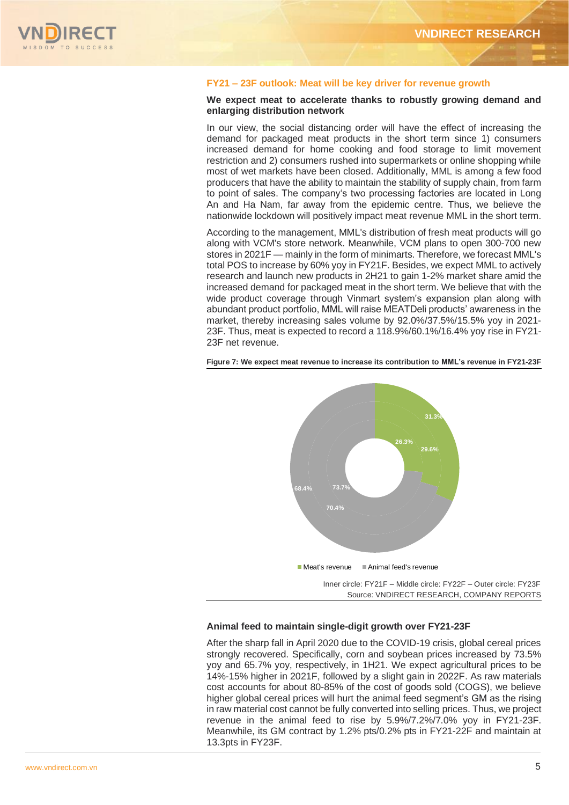

## **FY21 – 23F outlook: Meat will be key driver for revenue growth**

## **We expect meat to accelerate thanks to robustly growing demand and enlarging distribution network**

In our view, the social distancing order will have the effect of increasing the demand for packaged meat products in the short term since 1) consumers increased demand for home cooking and food storage to limit movement restriction and 2) consumers rushed into supermarkets or online shopping while most of wet markets have been closed. Additionally, MML is among a few food producers that have the ability to maintain the stability of supply chain, from farm to point of sales. The company's two processing factories are located in Long An and Ha Nam, far away from the epidemic centre. Thus, we believe the nationwide lockdown will positively impact meat revenue MML in the short term.

According to the management, MML's distribution of fresh meat products will go along with VCM's store network. Meanwhile, VCM plans to open 300-700 new stores in 2021F — mainly in the form of minimarts. Therefore, we forecast MML's total POS to increase by 60% yoy in FY21F. Besides, we expect MML to actively research and launch new products in 2H21 to gain 1-2% market share amid the increased demand for packaged meat in the short term. We believe that with the wide product coverage through Vinmart system's expansion plan along with abundant product portfolio, MML will raise MEATDeli products' awareness in the market, thereby increasing sales volume by 92.0%/37.5%/15.5% yoy in 2021- 23F. Thus, meat is expected to record a 118.9%/60.1%/16.4% yoy rise in FY21- 23F net revenue.



**Figure 7: We expect meat revenue to increase its contribution to MML's revenue in FY21-23F**

Source: VNDIRECT RESEARCH, COMPANY REPORTS

## **Animal feed to maintain single-digit growth over FY21-23F**

After the sharp fall in April 2020 due to the COVID-19 crisis, global cereal prices strongly recovered. Specifically, corn and soybean prices increased by 73.5% yoy and 65.7% yoy, respectively, in 1H21. We expect agricultural prices to be 14%-15% higher in 2021F, followed by a slight gain in 2022F. As raw materials cost accounts for about 80-85% of the cost of goods sold (COGS), we believe higher global cereal prices will hurt the animal feed segment's GM as the rising in raw material cost cannot be fully converted into selling prices. Thus, we project revenue in the animal feed to rise by 5.9%/7.2%/7.0% yoy in FY21-23F. Meanwhile, its GM contract by 1.2% pts/0.2% pts in FY21-22F and maintain at 13.3pts in FY23F.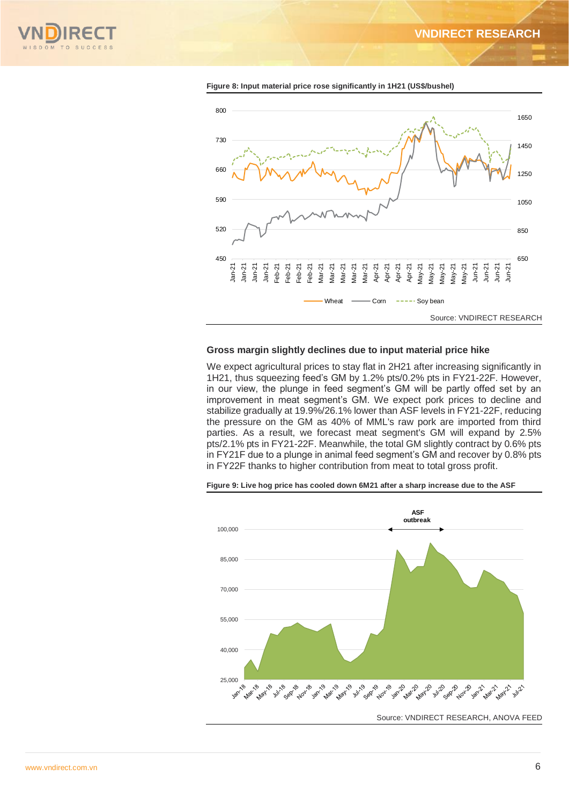**VNDIRECT RESEARCH**





**Figure 8: Input material price rose significantly in 1H21 (US\$/bushel)**

## **Gross margin slightly declines due to input material price hike**

We expect agricultural prices to stay flat in 2H21 after increasing significantly in 1H21, thus squeezing feed's GM by 1.2% pts/0.2% pts in FY21-22F. However, in our view, the plunge in feed segment's GM will be partly offed set by an improvement in meat segment's GM. We expect pork prices to decline and stabilize gradually at 19.9%/26.1% lower than ASF levels in FY21-22F, reducing the pressure on the GM as 40% of MML's raw pork are imported from third parties. As a result, we forecast meat segment's GM will expand by 2.5% pts/2.1% pts in FY21-22F. Meanwhile, the total GM slightly contract by 0.6% pts in FY21F due to a plunge in animal feed segment's GM and recover by 0.8% pts in FY22F thanks to higher contribution from meat to total gross profit.



**Figure 9: Live hog price has cooled down 6M21 after a sharp increase due to the ASF**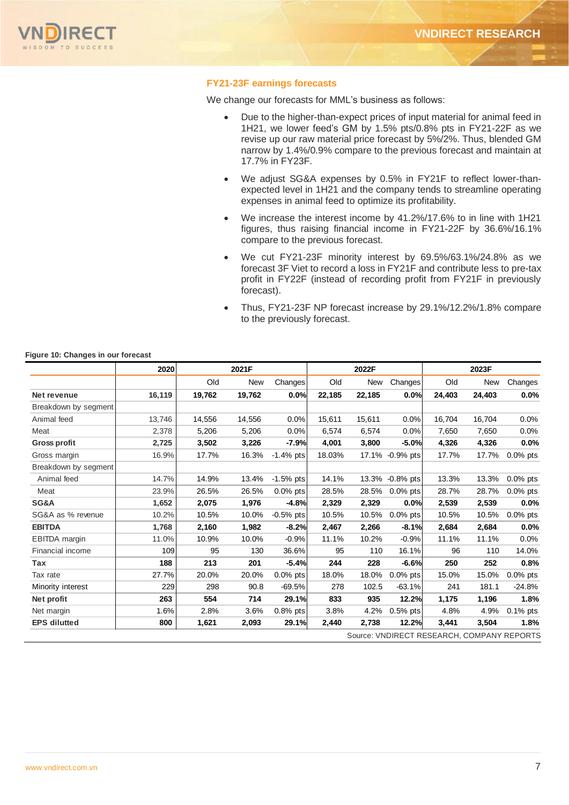

## **FY21-23F earnings forecasts**

We change our forecasts for MML's business as follows:

- Due to the higher-than-expect prices of input material for animal feed in 1H21, we lower feed's GM by 1.5% pts/0.8% pts in FY21-22F as we revise up our raw material price forecast by 5%/2%. Thus, blended GM narrow by 1.4%/0.9% compare to the previous forecast and maintain at 17.7% in FY23F.
- We adjust SG&A expenses by 0.5% in FY21F to reflect lower-thanexpected level in 1H21 and the company tends to streamline operating expenses in animal feed to optimize its profitability.
- We increase the interest income by 41.2%/17.6% to in line with 1H21 figures, thus raising financial income in FY21-22F by 36.6%/16.1% compare to the previous forecast.
- We cut FY21-23F minority interest by 69.5%/63.1%/24.8% as we forecast 3F Viet to record a loss in FY21F and contribute less to pre-tax profit in FY22F (instead of recording profit from FY21F in previously forecast).
- Thus, FY21-23F NP forecast increase by 29.1%/12.2%/1.8% compare to the previously forecast.

#### **Figure 10: Changes in our forecast**

|                                            | 2020   | 2021F  |        | 2022F       |        |        | 2023F           |        |        |             |
|--------------------------------------------|--------|--------|--------|-------------|--------|--------|-----------------|--------|--------|-------------|
|                                            |        | Old    | New    | Changes     | Old    | New    | Changes         | Old    | New    | Changes     |
| Net revenue                                | 16,119 | 19,762 | 19,762 | 0.0%        | 22,185 | 22,185 | 0.0%            | 24,403 | 24,403 | $0.0\%$     |
| Breakdown by segment                       |        |        |        |             |        |        |                 |        |        |             |
| Animal feed                                | 13,746 | 14,556 | 14,556 | 0.0%        | 15.611 | 15,611 | 0.0%            | 16.704 | 16,704 | 0.0%        |
| Meat                                       | 2,378  | 5,206  | 5,206  | 0.0%        | 6.574  | 6.574  | 0.0%            | 7,650  | 7,650  | 0.0%        |
| <b>Gross profit</b>                        | 2,725  | 3,502  | 3,226  | $-7.9%$     | 4,001  | 3,800  | $-5.0%$         | 4,326  | 4,326  | 0.0%        |
| Gross margin                               | 16.9%  | 17.7%  | 16.3%  | $-1.4%$ pts | 18.03% |        | 17.1% -0.9% pts | 17.7%  | 17.7%  | $0.0\%$ pts |
| Breakdown by segment                       |        |        |        |             |        |        |                 |        |        |             |
| Animal feed                                | 14.7%  | 14.9%  | 13.4%  | $-1.5%$ pts | 14.1%  | 13.3%  | $-0.8%$ pts     | 13.3%  | 13.3%  | $0.0\%$ pts |
| Meat                                       | 23.9%  | 26.5%  | 26.5%  | $0.0\%$ pts | 28.5%  | 28.5%  | $0.0\%$ pts     | 28.7%  | 28.7%  | $0.0\%$ pts |
| SG&A                                       | 1,652  | 2,075  | 1,976  | $-4.8%$     | 2,329  | 2,329  | 0.0%            | 2,539  | 2,539  | $0.0\%$     |
| SG&A as % revenue                          | 10.2%  | 10.5%  | 10.0%  | $-0.5%$ pts | 10.5%  | 10.5%  | $0.0\%$ pts     | 10.5%  | 10.5%  | $0.0\%$ pts |
| <b>EBITDA</b>                              | 1,768  | 2,160  | 1,982  | $-8.2%$     | 2,467  | 2,266  | $-8.1%$         | 2,684  | 2,684  | 0.0%        |
| EBITDA margin                              | 11.0%  | 10.9%  | 10.0%  | $-0.9%$     | 11.1%  | 10.2%  | $-0.9%$         | 11.1%  | 11.1%  | 0.0%        |
| Financial income                           | 109    | 95     | 130    | 36.6%       | 95     | 110    | 16.1%           | 96     | 110    | 14.0%       |
| Tax                                        | 188    | 213    | 201    | $-5.4%$     | 244    | 228    | $-6.6%$         | 250    | 252    | 0.8%        |
| Tax rate                                   | 27.7%  | 20.0%  | 20.0%  | 0.0% pts    | 18.0%  | 18.0%  | $0.0\%$ pts     | 15.0%  | 15.0%  | 0.0% pts    |
| Minority interest                          | 229    | 298    | 90.8   | $-69.5%$    | 278    | 102.5  | $-63.1%$        | 241    | 181.1  | $-24.8%$    |
| Net profit                                 | 263    | 554    | 714    | 29.1%       | 833    | 935    | 12.2%           | 1,175  | 1,196  | 1.8%        |
| Net margin                                 | 1.6%   | 2.8%   | 3.6%   | $0.8\%$ pts | 3.8%   | 4.2%   | $0.5%$ pts      | 4.8%   | 4.9%   | $0.1\%$ pts |
| <b>EPS</b> dilutted                        | 800    | 1,621  | 2,093  | 29.1%       | 2,440  | 2,738  | 12.2%           | 3,441  | 3,504  | 1.8%        |
| Source: VNDIRECT RESEARCH, COMPANY REPORTS |        |        |        |             |        |        |                 |        |        |             |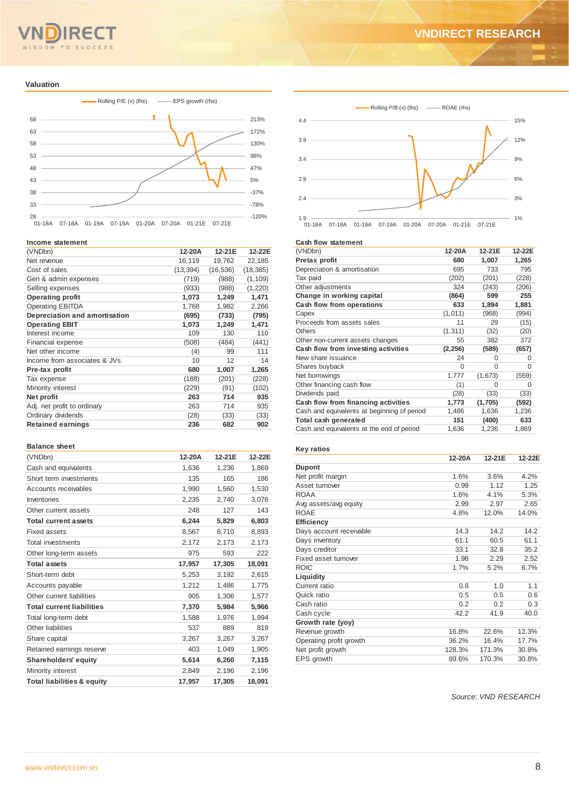# OM TO SUCCESS

#### **Valuation**



#### **Income statement**

| (VNDbn)                       | 12-20A    | 12-21E    | 12-22E    |
|-------------------------------|-----------|-----------|-----------|
| Net revenue                   | 16,119    | 19,762    | 22,185    |
| Cost of sales                 | (13, 394) | (16, 536) | (18, 385) |
| Gen & admin expenses          | (719)     | (988)     | (1, 109)  |
| Selling expenses              | (933)     | (988)     | (1, 220)  |
| <b>Operating profit</b>       | 1,073     | 1,249     | 1,471     |
| <b>Operating EBITDA</b>       | 1,768     | 1,982     | 2,266     |
| Depreciation and amortisation | (695)     | (733)     | (795)     |
| <b>Operating EBIT</b>         | 1,073     | 1,249     | 1,471     |
| Interest income               | 109       | 130       | 110       |
| Financial expense             | (508)     | (484)     | (441)     |
| Net other income              | (4)       | 99        | 111       |
| Income from associates & JVs  | 10        | 12        | 14        |
| Pre-tax profit                | 680       | 1,007     | 1,265     |
| Tax expense                   | (188)     | (201)     | (228)     |
| Minority interest             | (229)     | (91)      | (102)     |
| Net profit                    | 263       | 714       | 935       |
| Adj. net profit to ordinary   | 263       | 714       | 935       |
| Ordinary dividends            | (28)      | (33)      | (33)      |
| <b>Retained earnings</b>      | 236       | 682       | 902       |
|                               |           |           |           |

#### **Balance sheet**

| (VNDbn)                               | 12-20A | 12-21E | 12-22E |
|---------------------------------------|--------|--------|--------|
| Cash and equivalents                  | 1,636  | 1,236  | 1,869  |
| Short term investments                | 135    | 165    | 186    |
| Accounts receivables                  | 1,990  | 1,560  | 1,530  |
| Inventories                           | 2,235  | 2,740  | 3,076  |
| Other current assets                  | 248    | 127    | 143    |
| <b>Total current assets</b>           | 6,244  | 5,829  | 6,803  |
| <b>Fixed assets</b>                   | 8,567  | 8,710  | 8,893  |
| <b>Total investments</b>              | 2,172  | 2,173  | 2,173  |
| Other long-term assets                | 975    | 593    | 222    |
| <b>Total assets</b>                   | 17,957 | 17,305 | 18,091 |
| Short-term debt                       | 5,253  | 3.192  | 2,615  |
| Accounts payable                      | 1,212  | 1,486  | 1,775  |
| Other current liabilities             | 905    | 1,306  | 1,577  |
| <b>Total current liabilities</b>      | 7,370  | 5,984  | 5,966  |
| Total long-term debt                  | 1,588  | 1,976  | 1,994  |
| Other liabilities                     | 537    | 889    | 819    |
| Share capital                         | 3,267  | 3,267  | 3,267  |
| Retained earnings reserve             | 403    | 1,049  | 1,905  |
| <b>Shareholders' equity</b>           | 5,614  | 6,260  | 7,115  |
| Minority interest                     | 2,849  | 2,196  | 2,196  |
| <b>Total liabilities &amp; equity</b> | 17.957 | 17,305 | 18.091 |



#### **Cash flow statement**

| (VNDbn)                                     | 12-20A   | 12-21E  | 12-22E |
|---------------------------------------------|----------|---------|--------|
| Pretax profit                               | 680      | 1,007   | 1,265  |
| Depreciation & amortisation                 | 695      | 733     | 795    |
| Tax paid                                    | (202)    | (201)   | (228)  |
| Other adjustments                           | 324      | (243)   | (206)  |
| Change in working capital                   | (864)    | 599     | 255    |
| Cash flow from operations                   | 633      | 1,894   | 1,881  |
| Capex                                       | (1,011)  | (968)   | (994)  |
| Proceeds from assets sales                  | 11       | 29      | (15)   |
| Others                                      | (1, 311) | (32)    | (20)   |
| Other non-current assets changes            | 55       | 382     | 372    |
| Cash flow from investing activities         | (2, 256) | (589)   | (657)  |
| New share issuance                          | 24       | 0       | 0      |
| Shares buyback                              | 0        | 0       | 0      |
| Net borrowings                              | 1,777    | (1,673) | (559)  |
| Other financing cash flow                   | (1)      | 0       | 0      |
| Dividends paid                              | (28)     | (33)    | (33)   |
| Cash flow from financing activities         | 1,773    | (1,705) | (592)  |
| Cash and equivalents at beginning of period | 1,486    | 1,636   | 1,236  |
| Total cash generated                        | 151      | (400)   | 633    |
| Cash and equivalents at the end of period   | 1,636    | 1,236   | 1,869  |

## **Key ratios**

|                         | 12-20A | 12-21E | 12-22E |
|-------------------------|--------|--------|--------|
| <b>Dupont</b>           |        |        |        |
| Net profit margin       | 1.6%   | 3.6%   | 4.2%   |
| Asset turnover          | 0.99   | 1.12   | 1.25   |
| <b>ROAA</b>             | 1.6%   | 4.1%   | 5.3%   |
| Avg assets/avg equity   | 2.99   | 2.97   | 2.65   |
| <b>ROAE</b>             | 4.8%   | 12.0%  | 14.0%  |
| Efficiency              |        |        |        |
| Days account receivable | 14.3   | 14.2   | 14.2   |
| Days inventory          | 61.1   | 60.5   | 61.1   |
| Days creditor           | 33.1   | 32.8   | 35.2   |
| Fixed asset turnover    | 1.98   | 2.29   | 2.52   |
| <b>ROIC</b>             | 1.7%   | 5.2%   | 6.7%   |
| Liquidity               |        |        |        |
| Current ratio           | 0.8    | 1.0    | 1.1    |
| Quick ratio             | 0.5    | 0.5    | 0.6    |
| Cash ratio              | 0.2    | 0.2    | 0.3    |
| Cash cycle              | 42.2   | 41.9   | 40.0   |
| Growth rate (yoy)       |        |        |        |
| Revenue growth          | 16.8%  | 22.6%  | 12.3%  |
| Operating profit growth | 36.2%  | 16.4%  | 17.7%  |
| Net profit growth       | 128.3% | 171.3% | 30.8%  |
| EPS growth              | 89.6%  | 170.3% | 30.8%  |
|                         |        |        |        |

*Source: VND RESEARCH*